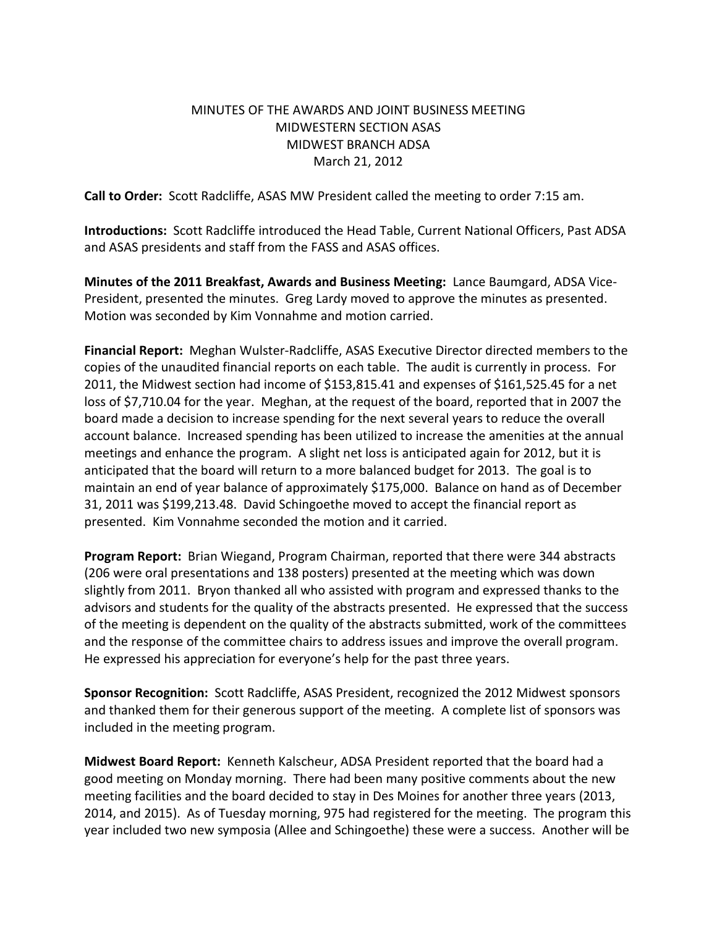# MINUTES OF THE AWARDS AND JOINT BUSINESS MEETING MIDWESTERN SECTION ASAS MIDWEST BRANCH ADSA March 21, 2012

**Call to Order:** Scott Radcliffe, ASAS MW President called the meeting to order 7:15 am.

**Introductions:** Scott Radcliffe introduced the Head Table, Current National Officers, Past ADSA and ASAS presidents and staff from the FASS and ASAS offices.

**Minutes of the 2011 Breakfast, Awards and Business Meeting:** Lance Baumgard, ADSA Vice-President, presented the minutes. Greg Lardy moved to approve the minutes as presented. Motion was seconded by Kim Vonnahme and motion carried.

**Financial Report:** Meghan Wulster-Radcliffe, ASAS Executive Director directed members to the copies of the unaudited financial reports on each table. The audit is currently in process. For 2011, the Midwest section had income of \$153,815.41 and expenses of \$161,525.45 for a net loss of \$7,710.04 for the year. Meghan, at the request of the board, reported that in 2007 the board made a decision to increase spending for the next several years to reduce the overall account balance. Increased spending has been utilized to increase the amenities at the annual meetings and enhance the program. A slight net loss is anticipated again for 2012, but it is anticipated that the board will return to a more balanced budget for 2013. The goal is to maintain an end of year balance of approximately \$175,000. Balance on hand as of December 31, 2011 was \$199,213.48. David Schingoethe moved to accept the financial report as presented. Kim Vonnahme seconded the motion and it carried.

**Program Report:** Brian Wiegand, Program Chairman, reported that there were 344 abstracts (206 were oral presentations and 138 posters) presented at the meeting which was down slightly from 2011. Bryon thanked all who assisted with program and expressed thanks to the advisors and students for the quality of the abstracts presented. He expressed that the success of the meeting is dependent on the quality of the abstracts submitted, work of the committees and the response of the committee chairs to address issues and improve the overall program. He expressed his appreciation for everyone's help for the past three years.

**Sponsor Recognition:** Scott Radcliffe, ASAS President, recognized the 2012 Midwest sponsors and thanked them for their generous support of the meeting. A complete list of sponsors was included in the meeting program.

**Midwest Board Report:** Kenneth Kalscheur, ADSA President reported that the board had a good meeting on Monday morning. There had been many positive comments about the new meeting facilities and the board decided to stay in Des Moines for another three years (2013, 2014, and 2015). As of Tuesday morning, 975 had registered for the meeting. The program this year included two new symposia (Allee and Schingoethe) these were a success. Another will be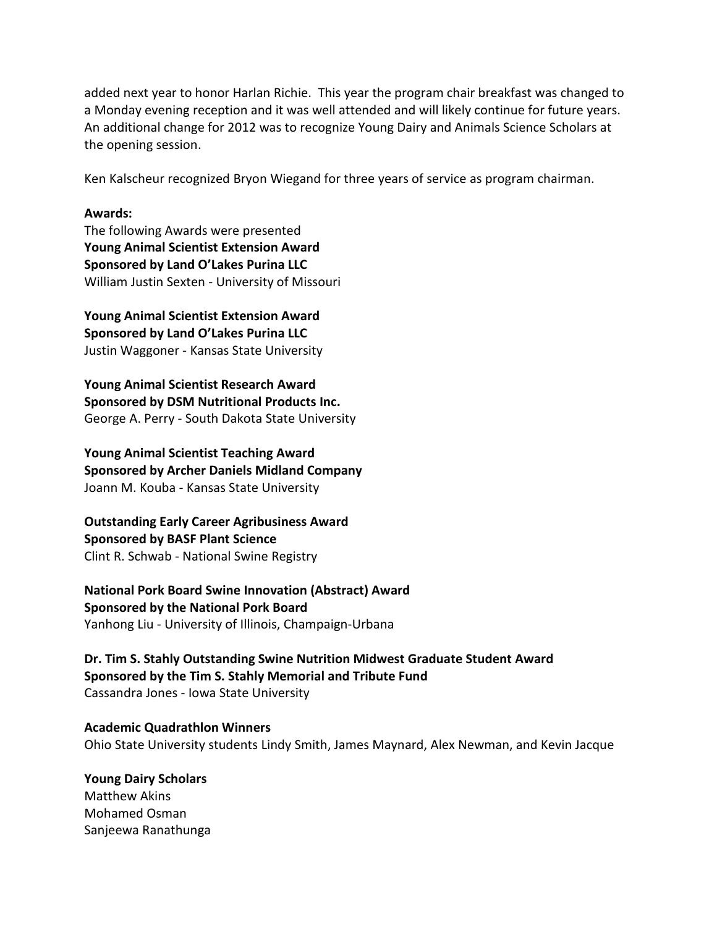added next year to honor Harlan Richie. This year the program chair breakfast was changed to a Monday evening reception and it was well attended and will likely continue for future years. An additional change for 2012 was to recognize Young Dairy and Animals Science Scholars at the opening session.

Ken Kalscheur recognized Bryon Wiegand for three years of service as program chairman.

#### **Awards:**

The following Awards were presented **Young Animal Scientist Extension Award Sponsored by Land O'Lakes Purina LLC** William Justin Sexten - University of Missouri

**Young Animal Scientist Extension Award Sponsored by Land O'Lakes Purina LLC** Justin Waggoner - Kansas State University

**Young Animal Scientist Research Award Sponsored by DSM Nutritional Products Inc.** George A. Perry - South Dakota State University

**Young Animal Scientist Teaching Award Sponsored by Archer Daniels Midland Company** Joann M. Kouba - Kansas State University

**Outstanding Early Career Agribusiness Award Sponsored by BASF Plant Science** Clint R. Schwab - National Swine Registry

**National Pork Board Swine Innovation (Abstract) Award Sponsored by the National Pork Board** Yanhong Liu - University of Illinois, Champaign-Urbana

**Dr. Tim S. Stahly Outstanding Swine Nutrition Midwest Graduate Student Award Sponsored by the Tim S. Stahly Memorial and Tribute Fund** Cassandra Jones - Iowa State University

**Academic Quadrathlon Winners** Ohio State University students Lindy Smith, James Maynard, Alex Newman, and Kevin Jacque

**Young Dairy Scholars** Matthew Akins Mohamed Osman Sanjeewa Ranathunga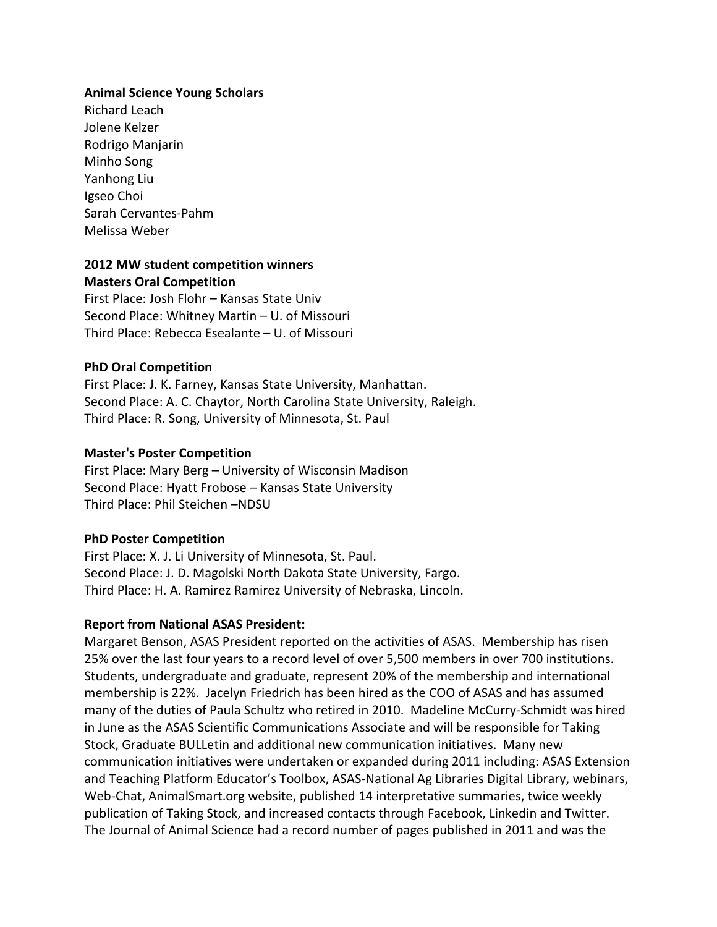#### **Animal Science Young Scholars**

Richard Leach Jolene Kelzer Rodrigo Manjarin Minho Song Yanhong Liu Igseo Choi Sarah Cervantes-Pahm Melissa Weber

# **2012 MW student competition winners Masters Oral Competition**

First Place: Josh Flohr – Kansas State Univ Second Place: Whitney Martin – U. of Missouri Third Place: Rebecca Esealante – U. of Missouri

#### **PhD Oral Competition**

First Place: J. K. Farney, Kansas State University, Manhattan. Second Place: A. C. Chaytor, North Carolina State University, Raleigh. Third Place: R. Song, University of Minnesota, St. Paul

#### **Master's Poster Competition**

First Place: Mary Berg – University of Wisconsin Madison Second Place: Hyatt Frobose – Kansas State University Third Place: Phil Steichen –NDSU

#### **PhD Poster Competition**

First Place: X. J. Li University of Minnesota, St. Paul. Second Place: J. D. Magolski North Dakota State University, Fargo. Third Place: H. A. Ramirez Ramirez University of Nebraska, Lincoln.

#### **Report from National ASAS President:**

Margaret Benson, ASAS President reported on the activities of ASAS. Membership has risen 25% over the last four years to a record level of over 5,500 members in over 700 institutions. Students, undergraduate and graduate, represent 20% of the membership and international membership is 22%. Jacelyn Friedrich has been hired as the COO of ASAS and has assumed many of the duties of Paula Schultz who retired in 2010. Madeline McCurry-Schmidt was hired in June as the ASAS Scientific Communications Associate and will be responsible for Taking Stock, Graduate BULLetin and additional new communication initiatives. Many new communication initiatives were undertaken or expanded during 2011 including: ASAS Extension and Teaching Platform Educator's Toolbox, ASAS-National Ag Libraries Digital Library, webinars, Web-Chat, AnimalSmart.org website, published 14 interpretative summaries, twice weekly publication of Taking Stock, and increased contacts through Facebook, Linkedin and Twitter. The Journal of Animal Science had a record number of pages published in 2011 and was the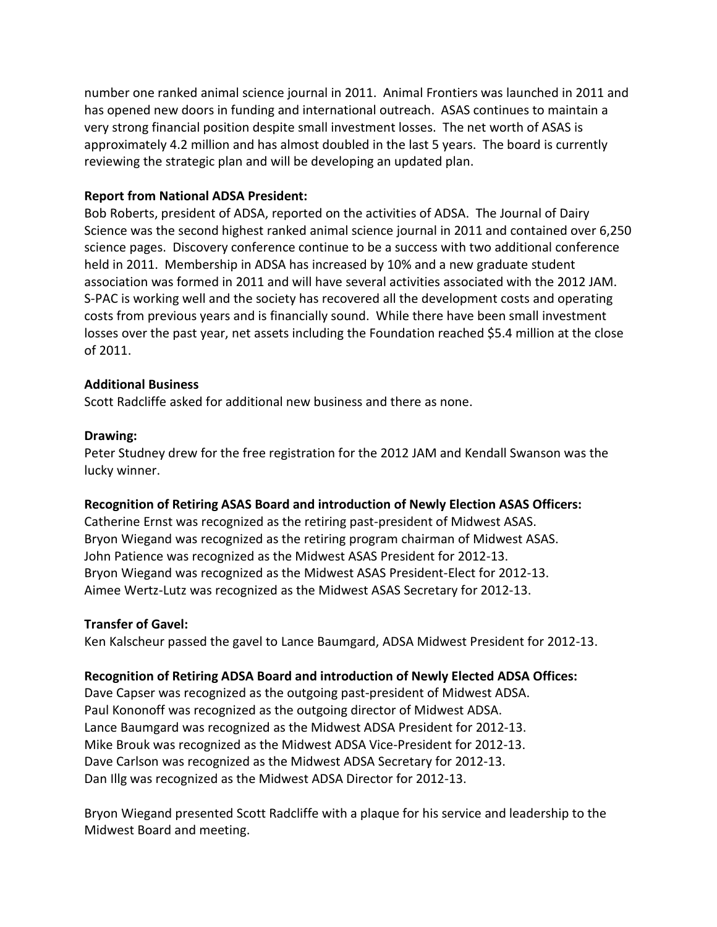number one ranked animal science journal in 2011. Animal Frontiers was launched in 2011 and has opened new doors in funding and international outreach. ASAS continues to maintain a very strong financial position despite small investment losses. The net worth of ASAS is approximately 4.2 million and has almost doubled in the last 5 years. The board is currently reviewing the strategic plan and will be developing an updated plan.

### **Report from National ADSA President:**

Bob Roberts, president of ADSA, reported on the activities of ADSA. The Journal of Dairy Science was the second highest ranked animal science journal in 2011 and contained over 6,250 science pages. Discovery conference continue to be a success with two additional conference held in 2011. Membership in ADSA has increased by 10% and a new graduate student association was formed in 2011 and will have several activities associated with the 2012 JAM. S-PAC is working well and the society has recovered all the development costs and operating costs from previous years and is financially sound. While there have been small investment losses over the past year, net assets including the Foundation reached \$5.4 million at the close of 2011.

#### **Additional Business**

Scott Radcliffe asked for additional new business and there as none.

#### **Drawing:**

Peter Studney drew for the free registration for the 2012 JAM and Kendall Swanson was the lucky winner.

# **Recognition of Retiring ASAS Board and introduction of Newly Election ASAS Officers:**

Catherine Ernst was recognized as the retiring past-president of Midwest ASAS. Bryon Wiegand was recognized as the retiring program chairman of Midwest ASAS. John Patience was recognized as the Midwest ASAS President for 2012-13. Bryon Wiegand was recognized as the Midwest ASAS President-Elect for 2012-13. Aimee Wertz-Lutz was recognized as the Midwest ASAS Secretary for 2012-13.

# **Transfer of Gavel:**

Ken Kalscheur passed the gavel to Lance Baumgard, ADSA Midwest President for 2012-13.

# **Recognition of Retiring ADSA Board and introduction of Newly Elected ADSA Offices:**

Dave Capser was recognized as the outgoing past-president of Midwest ADSA. Paul Kononoff was recognized as the outgoing director of Midwest ADSA. Lance Baumgard was recognized as the Midwest ADSA President for 2012-13. Mike Brouk was recognized as the Midwest ADSA Vice-President for 2012-13. Dave Carlson was recognized as the Midwest ADSA Secretary for 2012-13. Dan Illg was recognized as the Midwest ADSA Director for 2012-13.

Bryon Wiegand presented Scott Radcliffe with a plaque for his service and leadership to the Midwest Board and meeting.